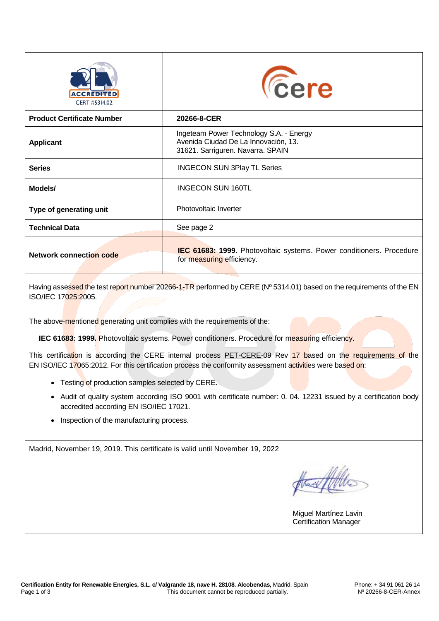| <b>ACCREDITED</b><br>CERT #5314.02 | <b><i><u>Cere</u></i></b>                                                                                            |
|------------------------------------|----------------------------------------------------------------------------------------------------------------------|
| <b>Product Certificate Number</b>  | 20266-8-CER                                                                                                          |
| <b>Applicant</b>                   | Ingeteam Power Technology S.A. - Energy<br>Avenida Ciudad De La Innovación, 13.<br>31621. Sarriguren. Navarra. SPAIN |
| <b>Series</b>                      | <b>INGECON SUN 3Play TL Series</b>                                                                                   |
| Models/                            | <b>INGECON SUN 160TL</b>                                                                                             |
| Type of generating unit            | Photovoltaic Inverter                                                                                                |
| <b>Technical Data</b>              | See page 2                                                                                                           |
| <b>Network connection code</b>     | <b>IEC 61683: 1999.</b> Photovoltaic systems. Power conditioners. Procedure<br>for measuring efficiency.             |

Having assessed the test report number 20266-1-TR performed by CERE (Nº 5314.01) based on the requirements of the EN ISO/IEC 17025:2005.

The above-mentioned generating unit complies with the requirements of the:

**IEC 61683: 1999.** Photovoltaic systems. Power conditioners. Procedure for measuring efficiency.

This certification is according the CERE internal process PET-CERE-09 Rev 17 based on the requirements of the EN ISO/IEC 17065:2012. For this certification process the conformity assessment activities were based on:

- Testing of production samples selected by CERE.
- Audit of quality system according ISO 9001 with certificate number: 0. 04. 12231 issued by a certification body accredited according EN ISO/IEC 17021.
- Inspection of the manufacturing process.

Madrid, November 19, 2019. This certificate is valid until November 19, 2022

the W

Miguel Martínez Lavin Certification Manager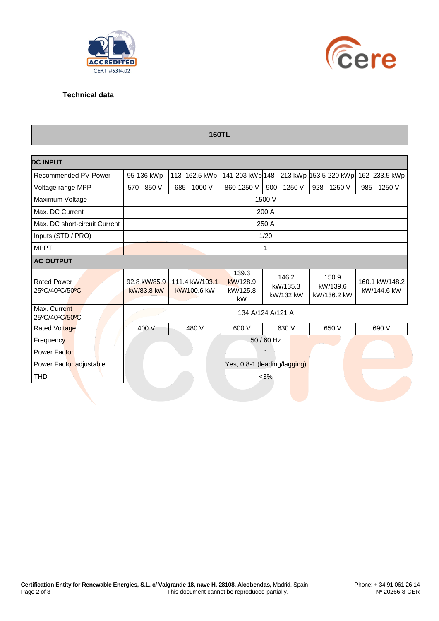



## **Technical data**

| <b>160TL</b>                         |                                                           |                                                                           |                                     |                                |                                  |                               |  |  |
|--------------------------------------|-----------------------------------------------------------|---------------------------------------------------------------------------|-------------------------------------|--------------------------------|----------------------------------|-------------------------------|--|--|
| <b>DC INPUT</b>                      |                                                           |                                                                           |                                     |                                |                                  |                               |  |  |
| Recommended PV-Power                 | 95-136 kWp                                                | 141-203 kWp 148 - 213 kWp 153.5-220 kWp<br>113-162.5 kWp<br>162-233.5 kWp |                                     |                                |                                  |                               |  |  |
| Voltage range MPP                    | 570 - 850 V<br>685 - 1000 V<br>860-1250 V<br>900 - 1250 V |                                                                           | 928 - 1250 V                        | 985 - 1250 V                   |                                  |                               |  |  |
| Maximum Voltage                      |                                                           |                                                                           |                                     | 1500 V                         |                                  |                               |  |  |
| Max. DC Current                      |                                                           |                                                                           |                                     | 200 A                          |                                  |                               |  |  |
| Max. DC short-circuit Current        |                                                           |                                                                           |                                     | 250 A                          |                                  |                               |  |  |
| Inputs (STD / PRO)                   | 1/20                                                      |                                                                           |                                     |                                |                                  |                               |  |  |
| <b>MPPT</b>                          |                                                           | 1                                                                         |                                     |                                |                                  |                               |  |  |
| <b>AC OUTPUT</b>                     |                                                           |                                                                           |                                     |                                |                                  |                               |  |  |
| <b>Rated Power</b><br>25°C/40°C/50°C | 92.8 kW/85.9<br>kW/83.8 kW                                | 111.4 kW/103.1<br>kW/100.6 kW                                             | 139.3<br>kW/128.9<br>kW/125.8<br>kW | 146.2<br>kW/135.3<br>kW/132 kW | 150.9<br>kW/139.6<br>kW/136.2 kW | 160.1 kW/148.2<br>kW/144.6 kW |  |  |
| Max. Current<br>25°C/40°C/50°C       | 134 A/124 A/121 A                                         |                                                                           |                                     |                                |                                  |                               |  |  |
| Rated Voltage                        | 400 V                                                     | 480 V                                                                     | 600 V                               | 630 V                          | 650 V                            | 690 V                         |  |  |
| Frequency                            | 50 / 60 Hz                                                |                                                                           |                                     |                                |                                  |                               |  |  |
| <b>Power Factor</b>                  | $\mathbf{1}$                                              |                                                                           |                                     |                                |                                  |                               |  |  |
| Power Factor adjustable              | Yes, 0.8-1 (leading/lagging)                              |                                                                           |                                     |                                |                                  |                               |  |  |
| <b>THD</b>                           | $<$ 3%                                                    |                                                                           |                                     |                                |                                  |                               |  |  |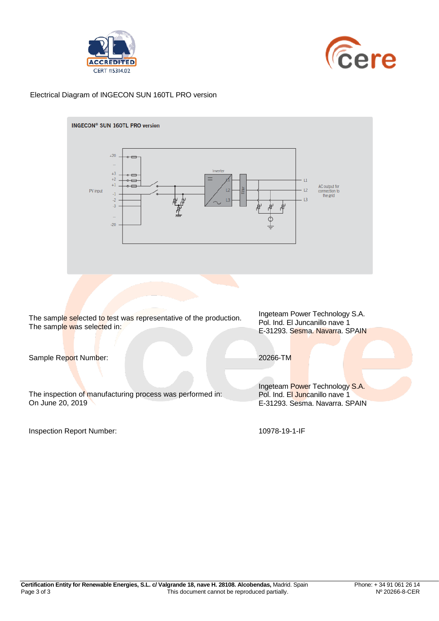



## Electrical Diagram of INGECON SUN 160TL PRO version



Inspection Report Number: 10978-19-1-IF